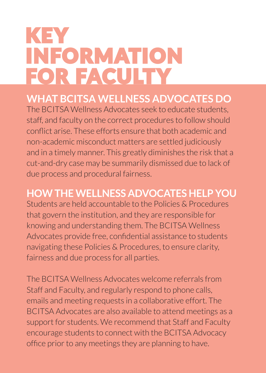# KEY INFORMATION **FOR FACULTY**

## **WHAT BCITSA WELLNESS ADVOCATES DO**

The BCITSA Wellness Advocates seek to educate students, staff, and faculty on the correct procedures to follow should conflict arise. These efforts ensure that both academic and non-academic misconduct matters are settled judiciously and in a timely manner. This greatly diminishes the risk that a cut-and-dry case may be summarily dismissed due to lack of due process and procedural fairness.

## **HOW THE WELLNESS ADVOCATES HELP YOU**

Students are held accountable to the Policies & Procedures that govern the institution, and they are responsible for knowing and understanding them. The BCITSA Wellness Advocates provide free, confidential assistance to students navigating these Policies & Procedures, to ensure clarity, fairness and due process for all parties.

The BCITSA Wellness Advocates welcome referrals from Staff and Faculty, and regularly respond to phone calls, emails and meeting requests in a collaborative effort. The BCITSA Advocates are also available to attend meetings as a support for students. We recommend that Staff and Faculty encourage students to connect with the BCITSA Advocacy office prior to any meetings they are planning to have.